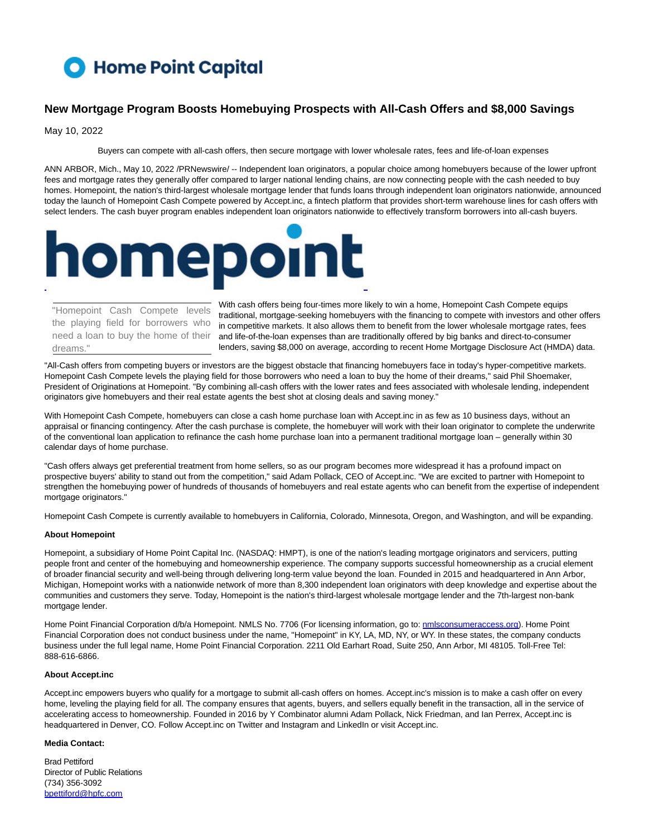# Home Point Capital

## **New Mortgage Program Boosts Homebuying Prospects with All-Cash Offers and \$8,000 Savings**

May 10, 2022

Buyers can compete with all-cash offers, then secure mortgage with lower wholesale rates, fees and life-of-loan expenses

ANN ARBOR, Mich., May 10, 2022 /PRNewswire/ -- Independent loan originators, a popular choice among homebuyers because of the lower upfront fees and mortgage rates they generally offer compared to larger national lending chains, are now connecting people with the cash needed to buy homes. Homepoint, the nation's third-largest wholesale mortgage lender that funds loans through independent loan originators nationwide, announced today the launch of Homepoint Cash Compete powered by Accept.inc, a fintech platform that provides short-term warehouse lines for cash offers with select lenders. The cash buyer program enables independent loan originators nationwide to effectively transform borrowers into all-cash buyers.



"Homepoint Cash Compete levels the playing field for borrowers who need a loan to buy the home of their dreams."

With cash offers being four-times more likely to win a home, Homepoint Cash Compete equips traditional, mortgage-seeking homebuyers with the financing to compete with investors and other offers in competitive markets. It also allows them to benefit from the lower wholesale mortgage rates, fees and life-of-the-loan expenses than are traditionally offered by big banks and direct-to-consumer lenders, saving \$8,000 on average, according to recent Home Mortgage Disclosure Act (HMDA) data.

"All-Cash offers from competing buyers or investors are the biggest obstacle that financing homebuyers face in today's hyper-competitive markets. Homepoint Cash Compete levels the playing field for those borrowers who need a loan to buy the home of their dreams," said Phil Shoemaker, President of Originations at Homepoint. "By combining all-cash offers with the lower rates and fees associated with wholesale lending, independent originators give homebuyers and their real estate agents the best shot at closing deals and saving money."

With Homepoint Cash Compete, homebuyers can close a cash home purchase loan with Accept.inc in as few as 10 business days, without an appraisal or financing contingency. After the cash purchase is complete, the homebuyer will work with their loan originator to complete the underwrite of the conventional loan application to refinance the cash home purchase loan into a permanent traditional mortgage loan – generally within 30 calendar days of home purchase.

"Cash offers always get preferential treatment from home sellers, so as our program becomes more widespread it has a profound impact on prospective buyers' ability to stand out from the competition," said Adam Pollack, CEO of Accept.inc. "We are excited to partner with Homepoint to strengthen the homebuying power of hundreds of thousands of homebuyers and real estate agents who can benefit from the expertise of independent mortgage originators."

Homepoint Cash Compete is currently available to homebuyers in California, Colorado, Minnesota, Oregon, and Washington, and will be expanding.

#### **About Homepoint**

Homepoint, a subsidiary of Home Point Capital Inc. (NASDAQ: HMPT), is one of the nation's leading mortgage originators and servicers, putting people front and center of the homebuying and homeownership experience. The company supports successful homeownership as a crucial element of broader financial security and well-being through delivering long-term value beyond the loan. Founded in 2015 and headquartered in Ann Arbor, Michigan, Homepoint works with a nationwide network of more than 8,300 independent loan originators with deep knowledge and expertise about the communities and customers they serve. Today, Homepoint is the nation's third-largest wholesale mortgage lender and the 7th-largest non-bank mortgage lender.

Home Point Financial Corporation d/b/a Homepoint. NMLS No. 7706 (For licensing information, go to: [nmlsconsumeraccess.org\).](http://nmlsconsumeraccess.org/) Home Point Financial Corporation does not conduct business under the name, "Homepoint" in KY, LA, MD, NY, or WY. In these states, the company conducts business under the full legal name, Home Point Financial Corporation. 2211 Old Earhart Road, Suite 250, Ann Arbor, MI 48105. Toll-Free Tel: 888-616-6866.

#### **About Accept.inc**

Accept.inc empowers buyers who qualify for a mortgage to submit all-cash offers on homes. Accept.inc's mission is to make a cash offer on every home, leveling the playing field for all. The company ensures that agents, buyers, and sellers equally benefit in the transaction, all in the service of accelerating access to homeownership. Founded in 2016 by Y Combinator alumni Adam Pollack, Nick Friedman, and Ian Perrex, Accept.inc is headquartered in Denver, CO. Follow Accept.inc on Twitter and Instagram and LinkedIn or visit Accept.inc.

### **Media Contact:**

Brad Pettiford Director of Public Relations (734) 356-3092 [bpettiford@hpfc.com](mailto:bpettiford@hpfc.com)